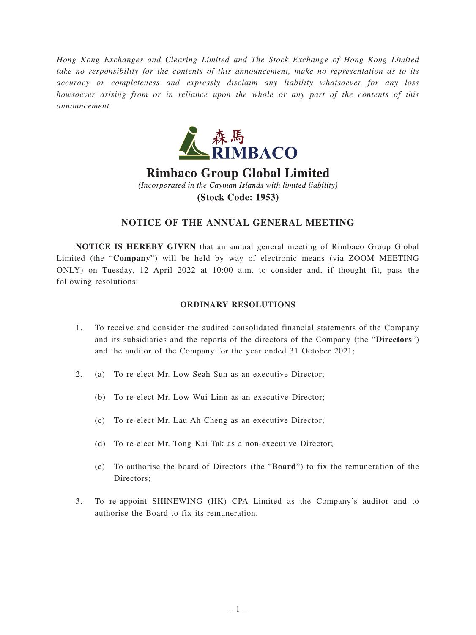*Hong Kong Exchanges and Clearing Limited and The Stock Exchange of Hong Kong Limited take no responsibility for the contents of this announcement, make no representation as to its accuracy or completeness and expressly disclaim any liability whatsoever for any loss howsoever arising from or in reliance upon the whole or any part of the contents of this announcement.*



**Rimbaco Group Global Limited** (Incorporated in the Cayman Islands with limited liability) **(Stock Code: 1953)** 

## **NOTICE OF THE ANNUAL GENERAL MEETING**

**NOTICE IS HEREBY GIVEN** that an annual general meeting of Rimbaco Group Global Limited (the "**Company**") will be held by way of electronic means (via ZOOM MEETING ONLY) on Tuesday, 12 April 2022 at 10:00 a.m. to consider and, if thought fit, pass the following resolutions:

## **ORDINARY RESOLUTIONS**

- 1. To receive and consider the audited consolidated financial statements of the Company and its subsidiaries and the reports of the directors of the Company (the "**Directors**") and the auditor of the Company for the year ended 31 October 2021;
- 2. (a) To re-elect Mr. Low Seah Sun as an executive Director;
	- (b) To re-elect Mr. Low Wui Linn as an executive Director;
	- (c) To re-elect Mr. Lau Ah Cheng as an executive Director;
	- (d) To re-elect Mr. Tong Kai Tak as a non-executive Director;
	- (e) To authorise the board of Directors (the "**Board**") to fix the remuneration of the Directors;
- 3. To re-appoint SHINEWING (HK) CPA Limited as the Company's auditor and to authorise the Board to fix its remuneration.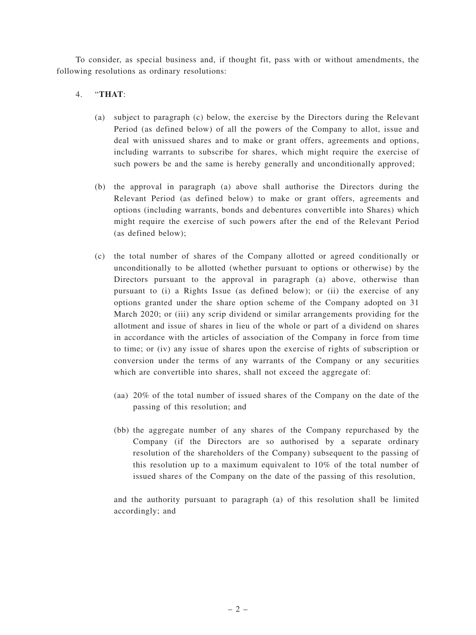To consider, as special business and, if thought fit, pass with or without amendments, the following resolutions as ordinary resolutions:

## 4. "**THAT**:

- (a) subject to paragraph (c) below, the exercise by the Directors during the Relevant Period (as defined below) of all the powers of the Company to allot, issue and deal with unissued shares and to make or grant offers, agreements and options, including warrants to subscribe for shares, which might require the exercise of such powers be and the same is hereby generally and unconditionally approved;
- (b) the approval in paragraph (a) above shall authorise the Directors during the Relevant Period (as defined below) to make or grant offers, agreements and options (including warrants, bonds and debentures convertible into Shares) which might require the exercise of such powers after the end of the Relevant Period (as defined below);
- (c) the total number of shares of the Company allotted or agreed conditionally or unconditionally to be allotted (whether pursuant to options or otherwise) by the Directors pursuant to the approval in paragraph (a) above, otherwise than pursuant to (i) a Rights Issue (as defined below); or (ii) the exercise of any options granted under the share option scheme of the Company adopted on 31 March 2020; or (iii) any scrip dividend or similar arrangements providing for the allotment and issue of shares in lieu of the whole or part of a dividend on shares in accordance with the articles of association of the Company in force from time to time; or (iv) any issue of shares upon the exercise of rights of subscription or conversion under the terms of any warrants of the Company or any securities which are convertible into shares, shall not exceed the aggregate of:
	- (aa) 20% of the total number of issued shares of the Company on the date of the passing of this resolution; and
	- (bb) the aggregate number of any shares of the Company repurchased by the Company (if the Directors are so authorised by a separate ordinary resolution of the shareholders of the Company) subsequent to the passing of this resolution up to a maximum equivalent to 10% of the total number of issued shares of the Company on the date of the passing of this resolution,

and the authority pursuant to paragraph (a) of this resolution shall be limited accordingly; and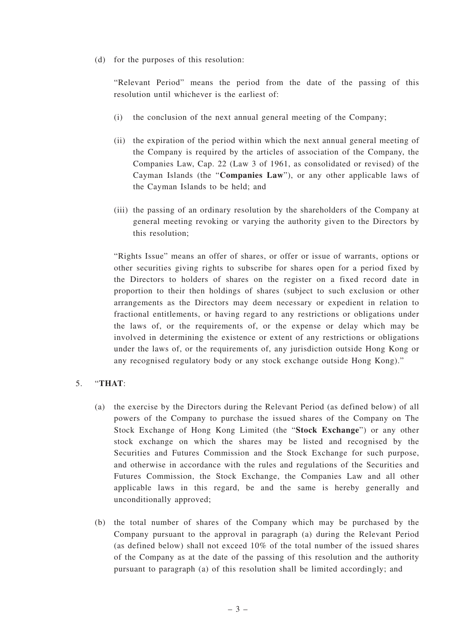(d) for the purposes of this resolution:

"Relevant Period" means the period from the date of the passing of this resolution until whichever is the earliest of:

- (i) the conclusion of the next annual general meeting of the Company;
- (ii) the expiration of the period within which the next annual general meeting of the Company is required by the articles of association of the Company, the Companies Law, Cap. 22 (Law 3 of 1961, as consolidated or revised) of the Cayman Islands (the "**Companies Law**"), or any other applicable laws of the Cayman Islands to be held; and
- (iii) the passing of an ordinary resolution by the shareholders of the Company at general meeting revoking or varying the authority given to the Directors by this resolution;

"Rights Issue" means an offer of shares, or offer or issue of warrants, options or other securities giving rights to subscribe for shares open for a period fixed by the Directors to holders of shares on the register on a fixed record date in proportion to their then holdings of shares (subject to such exclusion or other arrangements as the Directors may deem necessary or expedient in relation to fractional entitlements, or having regard to any restrictions or obligations under the laws of, or the requirements of, or the expense or delay which may be involved in determining the existence or extent of any restrictions or obligations under the laws of, or the requirements of, any jurisdiction outside Hong Kong or any recognised regulatory body or any stock exchange outside Hong Kong)."

## 5. "**THAT**:

- (a) the exercise by the Directors during the Relevant Period (as defined below) of all powers of the Company to purchase the issued shares of the Company on The Stock Exchange of Hong Kong Limited (the "**Stock Exchange**") or any other stock exchange on which the shares may be listed and recognised by the Securities and Futures Commission and the Stock Exchange for such purpose, and otherwise in accordance with the rules and regulations of the Securities and Futures Commission, the Stock Exchange, the Companies Law and all other applicable laws in this regard, be and the same is hereby generally and unconditionally approved;
- (b) the total number of shares of the Company which may be purchased by the Company pursuant to the approval in paragraph (a) during the Relevant Period (as defined below) shall not exceed 10% of the total number of the issued shares of the Company as at the date of the passing of this resolution and the authority pursuant to paragraph (a) of this resolution shall be limited accordingly; and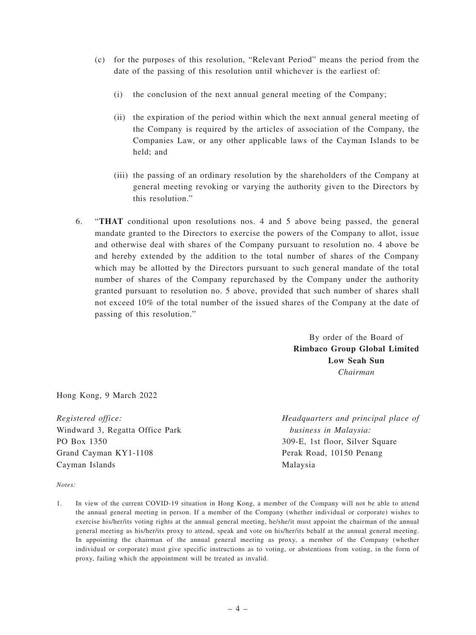- (c) for the purposes of this resolution, "Relevant Period" means the period from the date of the passing of this resolution until whichever is the earliest of:
	- (i) the conclusion of the next annual general meeting of the Company;
	- (ii) the expiration of the period within which the next annual general meeting of the Company is required by the articles of association of the Company, the Companies Law, or any other applicable laws of the Cayman Islands to be held; and
	- (iii) the passing of an ordinary resolution by the shareholders of the Company at general meeting revoking or varying the authority given to the Directors by this resolution."
- 6. "**THAT** conditional upon resolutions nos. 4 and 5 above being passed, the general mandate granted to the Directors to exercise the powers of the Company to allot, issue and otherwise deal with shares of the Company pursuant to resolution no. 4 above be and hereby extended by the addition to the total number of shares of the Company which may be allotted by the Directors pursuant to such general mandate of the total number of shares of the Company repurchased by the Company under the authority granted pursuant to resolution no. 5 above, provided that such number of shares shall not exceed 10% of the total number of the issued shares of the Company at the date of passing of this resolution."

By order of the Board of **Rimbaco Group Global Limited Low Seah Sun** *Chairman*

Hong Kong, 9 March 2022

*Registered office:* Windward 3, Regatta Office Park PO Box 1350 Grand Cayman KY1-1108 Cayman Islands

*Headquarters and principal place of business in Malaysia:* 309-E, 1st floor, Silver Square Perak Road, 10150 Penang Malaysia

*Notes:*

1. In view of the current COVID-19 situation in Hong Kong, a member of the Company will not be able to attend the annual general meeting in person. If a member of the Company (whether individual or corporate) wishes to exercise his/her/its voting rights at the annual general meeting, he/she/it must appoint the chairman of the annual general meeting as his/her/its proxy to attend, speak and vote on his/her/its behalf at the annual general meeting. In appointing the chairman of the annual general meeting as proxy, a member of the Company (whether individual or corporate) must give specific instructions as to voting, or abstentions from voting, in the form of proxy, failing which the appointment will be treated as invalid.